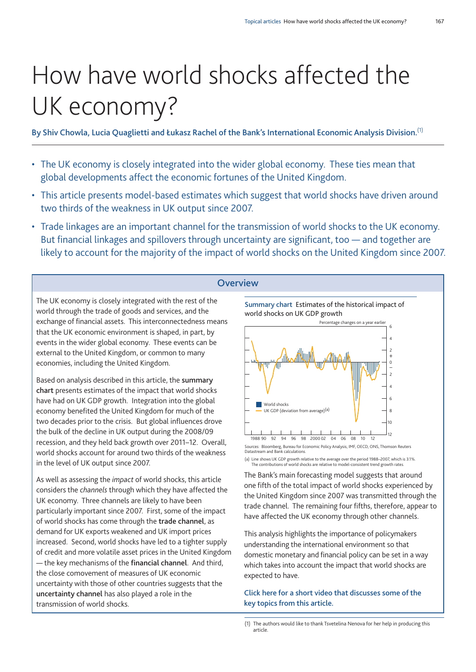# How have world shocks affected the UK economy?

**By Shiv Chowla, Lucia Quaglietti and Łukasz Rachel of the Bank's International Economic Analysis Division.** (1)

- The UK economy is closely integrated into the wider global economy. These ties mean that global developments affect the economic fortunes of the United Kingdom.
- This article presents model-based estimates which suggest that world shocks have driven around two thirds of the weakness in UK output since 2007.
- Trade linkages are an important channel for the transmission of world shocks to the UK economy. But financial linkages and spillovers through uncertainty are significant, too — and together are likely to account for the majority of the impact of world shocks on the United Kingdom since 2007.

# **Overview**

The UK economy is closely integrated with the rest of the world through the trade of goods and services, and the exchange of financial assets. This interconnectedness means that the UK economic environment is shaped, in part, by events in the wider global economy. These events can be external to the United Kingdom, or common to many economies, including the United Kingdom.

Based on analysis described in this article, the **summary chart** presents estimates of the impact that world shocks have had on UK GDP growth. Integration into the global economy benefited the United Kingdom for much of the two decades prior to the crisis. But global influences drove the bulk of the decline in UK output during the 2008/09 recession, and they held back growth over 2011–12. Overall, world shocks account for around two thirds of the weakness in the level of UK output since 2007.

As well as assessing the *impact* of world shocks, this article considers the *channels* through which they have affected the UK economy. Three channels are likely to have been particularly important since 2007. First, some of the impact of world shocks has come through the **trade channel**, as demand for UK exports weakened and UK import prices increased. Second, world shocks have led to a tighter supply of credit and more volatile asset prices in the United Kingdom — the key mechanisms of the **financial channel**. And third, the close comovement of measures of UK economic uncertainty with those of other countries suggests that the **uncertainty channel** has also played a role in the transmission of world shocks.

**Summary chart** Estimates of the historical impact of world shocks on UK GDP growth



(a) Line shows UK GDP growth relative to the average over the period 1988–2007, which is 3.1%. The contributions of world shocks are relative to model-consistent trend growth rates.

The Bank's main forecasting model suggests that around one fifth of the total impact of world shocks experienced by the United Kingdom since 2007 was transmitted through the trade channel. The remaining four fifths, therefore, appear to have affected the UK economy through other channels.

This analysis highlights the importance of policymakers understanding the international environment so that domestic monetary and financial policy can be set in a way which takes into account the impact that world shocks are expected to have.

**Click here for a short video that [discusses](http://youtu.be/bPWAWOAvTA4) some of the key topics from this [article.](http://youtu.be/bPWAWOAvTA4)**

<sup>(1)</sup> The authors would like to thank Tsvetelina Nenova for her help in producing this article.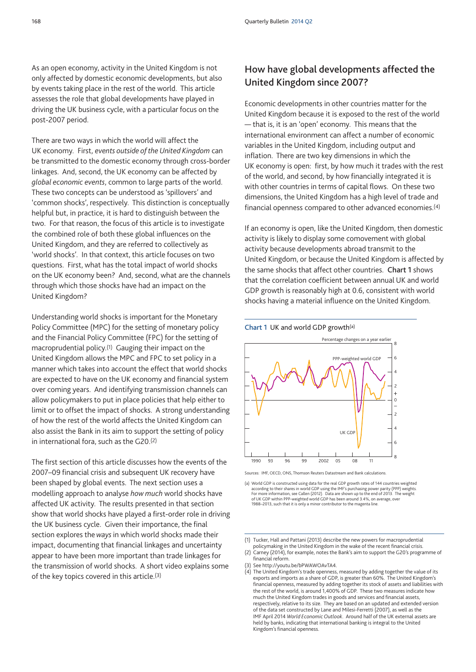As an open economy, activity in the United Kingdom is not only affected by domestic economic developments, but also by events taking place in the rest of the world. This article assesses the role that global developments have played in driving the UK business cycle, with a particular focus on the post-2007 period.

There are two ways in which the world will affect the UK economy. First, *events outside of the United Kingdom* can be transmitted to the domestic economy through cross-border linkages. And, second, the UK economy can be affected by *global economic events*, common to large parts of the world. These two concepts can be understood as 'spillovers' and 'common shocks', respectively. This distinction is conceptually helpful but, in practice, it is hard to distinguish between the two. For that reason, the focus of this article is to investigate the combined role of both these global influences on the United Kingdom, and they are referred to collectively as 'world shocks'. In that context, this article focuses on two questions. First, what has the total impact of world shocks on the UK economy been? And, second, what are the channels through which those shocks have had an impact on the United Kingdom?

Understanding world shocks is important for the Monetary Policy Committee (MPC) for the setting of monetary policy and the Financial Policy Committee (FPC) for the setting of macroprudential policy.(1) Gauging their impact on the United Kingdom allows the MPC and FPC to set policy in a manner which takes into account the effect that world shocks are expected to have on the UK economy and financial system over coming years. And identifying transmission channels can allow policymakers to put in place policies that help either to limit or to offset the impact of shocks. A strong understanding of how the rest of the world affects the United Kingdom can also assist the Bank in its aim to support the setting of policy in international fora, such as the G20.(2)

The first section of this article discusses how the events of the 2007–09 financial crisis and subsequent UK recovery have been shaped by global events. The next section uses a modelling approach to analyse *how much* world shocks have affected UK activity. The results presented in that section show that world shocks have played a first-order role in driving the UK business cycle. Given their importance, the final section explores the*ways* in which world shocks made their impact, documenting that financial linkages and uncertainty appear to have been more important than trade linkages for the transmission of world shocks. A short video explains some of the key topics covered in this article.(3)

# **How have global developments affected the United Kingdom since 2007?**

Economic developments in other countries matter for the United Kingdom because it is exposed to the rest of the world — that is, it is an 'open' economy. This means that the international environment can affect a number of economic variables in the United Kingdom, including output and inflation. There are two key dimensions in which the UK economy is open: first, by how much it trades with the rest of the world, and second, by how financially integrated it is with other countries in terms of capital flows. On these two dimensions, the United Kingdom has a high level of trade and financial openness compared to other advanced economies.(4)

If an economy is open, like the United Kingdom, then domestic activity is likely to display some comovement with global activity because developments abroad transmit to the United Kingdom, or because the United Kingdom is affected by the same shocks that affect other countries. **Chart 1** shows that the correlation coefficient between annual UK and world GDP growth is reasonably high at 0.6, consistent with world shocks having a material influence on the United Kingdom.

**Chart 1** UK and world GDP growth(a)



Sources: IMF, OECD, ONS, Thomson Reuters Datastream and Bank calculations.

(a) World GDP is constructed using data for the real GDP growth rates of 144 countries weighted according to their shares in world GDP using the IMF's purchasing power parity (PPP) weights. For more information, see Callen (2012). Data are shown up to the end of 2013. The weight of UK GDP within PPP-weighted world GDP has been around 3.4%, on average, over 1988–2013, such that it is only a minor contributor to the magenta line.

<sup>(1)</sup> Tucker, Hall and Pattani (2013) describe the new powers for macroprudential policymaking in the United Kingdom in the wake of the recent financial crisis.

<sup>(2)</sup> Carney (2014), for example, notes the Bank's aim to support the G20's programme of financial reform.

<sup>(3)</sup> See [http://youtu.be/bPWAWOAvTA4.](http://youtu.be/bPWAWOAvTA4)

<sup>(4)</sup> The United Kingdom's trade openness, measured by adding together the value of its exports and imports as a share of GDP, is greater than 60%. The United Kingdom's financial openness, measured by adding together its stock of assets and liabilities with the rest of the world, is around 1,400% of GDP. These two measures indicate how much the United Kingdom trades in goods and services and financial assets, respectively, relative to its size. They are based on an updated and extended version of the data set constructed by Lane and Milesi-Ferretti (2007), as well as the IMF April 2014 *World Economic Outlook*. Around half of the UK external assets are held by banks, indicating that international banking is integral to the United Kingdom's financial openness.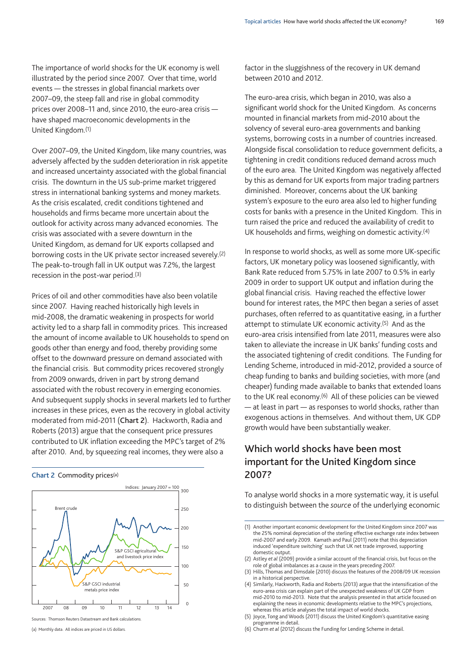The importance of world shocks for the UK economy is well illustrated by the period since 2007. Over that time, world events — the stresses in global financial markets over 2007–09, the steep fall and rise in global commodity prices over 2008–11 and, since 2010, the euro-area crisis have shaped macroeconomic developments in the United Kingdom.(1)

Over 2007–09, the United Kingdom, like many countries, was adversely affected by the sudden deterioration in risk appetite and increased uncertainty associated with the global financial crisis. The downturn in the US sub-prime market triggered stress in international banking systems and money markets. As the crisis escalated, credit conditions tightened and households and firms became more uncertain about the outlook for activity across many advanced economies. The crisis was associated with a severe downturn in the United Kingdom, as demand for UK exports collapsed and borrowing costs in the UK private sector increased severely.(2) The peak-to-trough fall in UK output was 7.2%, the largest recession in the post-war period.(3)

Prices of oil and other commodities have also been volatile since 2007. Having reached historically high levels in mid-2008, the dramatic weakening in prospects for world activity led to a sharp fall in commodity prices. This increased the amount of income available to UK households to spend on goods other than energy and food, thereby providing some offset to the downward pressure on demand associated with the financial crisis. But commodity prices recovered strongly from 2009 onwards, driven in part by strong demand associated with the robust recovery in emerging economies. And subsequent supply shocks in several markets led to further increases in these prices, even as the recovery in global activity moderated from mid-2011 (**Chart 2**). Hackworth, Radia and Roberts (2013) argue that the consequent price pressures contributed to UK inflation exceeding the MPC's target of 2% after 2010. And, by squeezing real incomes, they were also a

**Chart 2** Commodity prices(a)



Sources: Thomson Reuters Datastream and Bank calculations.

factor in the sluggishness of the recovery in UK demand between 2010 and 2012.

The euro-area crisis, which began in 2010, was also a significant world shock for the United Kingdom. As concerns mounted in financial markets from mid-2010 about the solvency of several euro-area governments and banking systems, borrowing costs in a number of countries increased. Alongside fiscal consolidation to reduce government deficits, a tightening in credit conditions reduced demand across much of the euro area. The United Kingdom was negatively affected by this as demand for UK exports from major trading partners diminished. Moreover, concerns about the UK banking system's exposure to the euro area also led to higher funding costs for banks with a presence in the United Kingdom. This in turn raised the price and reduced the availability of credit to UK households and firms, weighing on domestic activity.(4)

In response to world shocks, as well as some more UK-specific factors, UK monetary policy was loosened significantly, with Bank Rate reduced from 5.75% in late 2007 to 0.5% in early 2009 in order to support UK output and inflation during the global financial crisis. Having reached the effective lower bound for interest rates, the MPC then began a series of asset purchases, often referred to as quantitative easing, in a further attempt to stimulate UK economic activity.(5) And as the euro-area crisis intensified from late 2011, measures were also taken to alleviate the increase in UK banks' funding costs and the associated tightening of credit conditions. The Funding for Lending Scheme, introduced in mid-2012, provided a source of cheap funding to banks and building societies, with more (and cheaper) funding made available to banks that extended loans to the UK real economy.(6) All of these policies can be viewed — at least in part — as responses to world shocks, rather than exogenous actions in themselves. And without them, UK GDP growth would have been substantially weaker.

# **Which world shocks have been most important for the United Kingdom since 2007?**

To analyse world shocks in a more systematic way, it is useful to distinguish between the *source* of the underlying economic

<sup>(</sup>a) Monthly data. All indices are priced in US dollars.

<sup>(1)</sup> Another important economic development for the United Kingdom since 2007 was the 25% nominal depreciation of the sterling effective exchange rate index between mid-2007 and early 2009. Kamath and Paul (2011) note that this depreciation induced 'expenditure switching' such that UK net trade improved, supporting domestic output.

<sup>(2)</sup> Astley *et al* (2009) provide a similar account of the financial crisis, but focus on the role of global imbalances as a cause in the years preceding 2007.

<sup>(3)</sup> Hills, Thomas and Dimsdale (2010) discuss the features of the 2008/09 UK recession in a historical perspective.

<sup>(4)</sup> Similarly, Hackworth, Radia and Roberts (2013) argue that the intensification of the euro-area crisis can explain part of the unexpected weakness of UK GDP from mid-2010 to mid-2013. Note that the analysis presented in that article focused on explaining the news in economic developments relative to the MPC's projections, whereas this article analyses the total impact of world shocks.

<sup>(5)</sup> Joyce, Tong and Woods (2011) discuss the United Kingdom's quantitative easing programme in detail.

<sup>(6)</sup> Churm *et al* (2012) discuss the Funding for Lending Scheme in detail.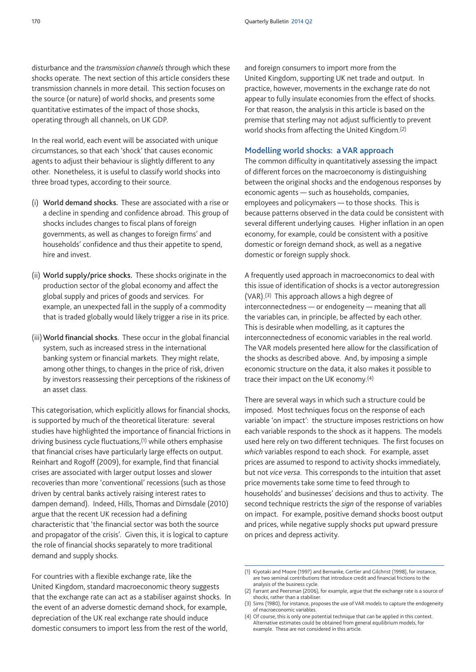disturbance and the *transmission channels* through which these shocks operate. The next section of this article considers these transmission channels in more detail. This section focuses on the source (or nature) of world shocks, and presents some quantitative estimates of the impact of those shocks, operating through all channels, on UK GDP.

In the real world, each event will be associated with unique circumstances, so that each 'shock' that causes economic agents to adjust their behaviour is slightly different to any other. Nonetheless, it is useful to classify world shocks into three broad types, according to their source.

- (i) **World demand shocks.** These are associated with a rise or a decline in spending and confidence abroad. This group of shocks includes changes to fiscal plans of foreign governments, as well as changes to foreign firms' and households' confidence and thus their appetite to spend, hire and invest.
- (ii) **World supply/price shocks.** These shocks originate in the production sector of the global economy and affect the global supply and prices of goods and services. For example, an unexpected fall in the supply of a commodity that is traded globally would likely trigger a rise in its price.
- (iii)**World financial shocks.** These occur in the global financial system, such as increased stress in the international banking system or financial markets. They might relate, among other things, to changes in the price of risk, driven by investors reassessing their perceptions of the riskiness of an asset class.

This categorisation, which explicitly allows for financial shocks, is supported by much of the theoretical literature: several studies have highlighted the importance of financial frictions in driving business cycle fluctuations,(1) while others emphasise that financial crises have particularly large effects on output. Reinhart and Rogoff (2009), for example, find that financial crises are associated with larger output losses and slower recoveries than more 'conventional' recessions (such as those driven by central banks actively raising interest rates to dampen demand). Indeed, Hills, Thomas and Dimsdale (2010) argue that the recent UK recession had a defining characteristic that 'the financial sector was both the source and propagator of the crisis'. Given this, it is logical to capture the role of financial shocks separately to more traditional demand and supply shocks.

For countries with a flexible exchange rate, like the United Kingdom, standard macroeconomic theory suggests that the exchange rate can act as a stabiliser against shocks. In the event of an adverse domestic demand shock, for example, depreciation of the UK real exchange rate should induce domestic consumers to import less from the rest of the world,

and foreign consumers to import more from the United Kingdom, supporting UK net trade and output. In practice, however, movements in the exchange rate do not appear to fully insulate economies from the effect of shocks. For that reason, the analysis in this article is based on the premise that sterling may not adjust sufficiently to prevent world shocks from affecting the United Kingdom.(2)

#### **Modelling world shocks: a VAR approach**

The common difficulty in quantitatively assessing the impact of different forces on the macroeconomy is distinguishing between the original shocks and the endogenous responses by economic agents — such as households, companies, employees and policymakers — to those shocks. This is because patterns observed in the data could be consistent with several different underlying causes. Higher inflation in an open economy, for example, could be consistent with a positive domestic or foreign demand shock, as well as a negative domestic or foreign supply shock.

A frequently used approach in macroeconomics to deal with this issue of identification of shocks is a vector autoregression (VAR).(3) This approach allows a high degree of interconnectedness — or endogeneity — meaning that all the variables can, in principle, be affected by each other. This is desirable when modelling, as it captures the interconnectedness of economic variables in the real world. The VAR models presented here allow for the classification of the shocks as described above. And, by imposing a simple economic structure on the data, it also makes it possible to trace their impact on the UK economy.(4)

There are several ways in which such a structure could be imposed. Most techniques focus on the response of each variable 'on impact': the structure imposes restrictions on how each variable responds to the shock as it happens. The models used here rely on two different techniques. The first focuses on *which* variables respond to each shock. For example, asset prices are assumed to respond to activity shocks immediately, but not *vice versa*. This corresponds to the intuition that asset price movements take some time to feed through to households' and businesses' decisions and thus to activity. The second technique restricts the *sign* of the response of variables on impact. For example, positive demand shocks boost output and prices, while negative supply shocks put upward pressure on prices and depress activity.

<sup>(1)</sup> Kiyotaki and Moore (1997) and Bernanke, Gertler and Gilchrist (1998), for instance, are two seminal contributions that introduce credit and financial frictions to the analysis of the business cycle.

<sup>(2)</sup> Farrant and Peersman (2006), for example, argue that the exchange rate is a source of shocks, rather than a stabiliser.

<sup>(3)</sup> Sims (1980), for instance, proposes the use of VAR models to capture the endogeneity of macroeconomic variables.

<sup>(4)</sup> Of course, this is only one potential technique that can be applied in this context. Alternative estimates could be obtained from general equilibrium models, for example. These are not considered in this article.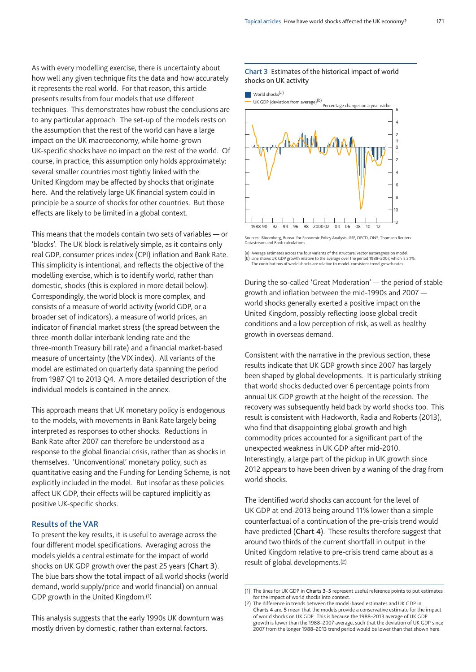As with every modelling exercise, there is uncertainty about how well any given technique fits the data and how accurately it represents the real world. For that reason, this article presents results from four models that use different techniques. This demonstrates how robust the conclusions are to any particular approach. The set-up of the models rests on the assumption that the rest of the world can have a large impact on the UK macroeconomy, while home-grown UK-specific shocks have no impact on the rest of the world. Of course, in practice, this assumption only holds approximately: several smaller countries most tightly linked with the United Kingdom may be affected by shocks that originate here. And the relatively large UK financial system could in principle be a source of shocks for other countries. But those effects are likely to be limited in a global context.

This means that the models contain two sets of variables — or 'blocks'. The UK block is relatively simple, as it contains only real GDP, consumer prices index (CPI) inflation and Bank Rate. This simplicity is intentional, and reflects the objective of the modelling exercise, which is to identify world, rather than domestic, shocks (this is explored in more detail below). Correspondingly, the world block is more complex, and consists of a measure of world activity (world GDP, or a broader set of indicators), a measure of world prices, an indicator of financial market stress (the spread between the three-month dollar interbank lending rate and the three-month Treasury bill rate) and a financial market-based measure of uncertainty (the VIX index). All variants of the model are estimated on quarterly data spanning the period from 1987 Q1 to 2013 Q4. A more detailed description of the individual models is contained in the annex.

This approach means that UK monetary policy is endogenous to the models, with movements in Bank Rate largely being interpreted as responses to other shocks. Reductions in Bank Rate after 2007 can therefore be understood as a response to the global financial crisis, rather than as shocks in themselves. 'Unconventional' monetary policy, such as quantitative easing and the Funding for Lending Scheme, is not explicitly included in the model. But insofar as these policies affect UK GDP, their effects will be captured implicitly as positive UK-specific shocks.

## **Results of the VAR**

To present the key results, it is useful to average across the four different model specifications. Averaging across the models yields a central estimate for the impact of world shocks on UK GDP growth over the past 25 years (**Chart 3**). The blue bars show the total impact of all world shocks (world demand, world supply/price and world financial) on annual GDP growth in the United Kingdom.(1)

This analysis suggests that the early 1990s UK downturn was mostly driven by domestic, rather than external factors.

#### **Chart 3** Estimates of the historical impact of world shocks on UK activity



Sources: Bloomberg, Bureau for Economic Policy Analysis, IMF, OECD, ONS, Thomson Reuters Datastream and Bank calculations.

(a) Average estimates across the four variants of the structural vector autoregression model. (b) Line shows UK GDP growth relative to the average over the period 1988–2007, which is 3.1%. The contributions of world shocks are relative to model-consistent trend growth rates.

During the so-called 'Great Moderation' — the period of stable growth and inflation between the mid-1990s and 2007 world shocks generally exerted a positive impact on the United Kingdom, possibly reflecting loose global credit conditions and a low perception of risk, as well as healthy growth in overseas demand.

Consistent with the narrative in the previous section, these results indicate that UK GDP growth since 2007 has largely been shaped by global developments. It is particularly striking that world shocks deducted over 6 percentage points from annual UK GDP growth at the height of the recession. The recovery was subsequently held back by world shocks too. This result is consistent with Hackworth, Radia and Roberts (2013), who find that disappointing global growth and high commodity prices accounted for a significant part of the unexpected weakness in UK GDP after mid-2010. Interestingly, a large part of the pickup in UK growth since 2012 appears to have been driven by a waning of the drag from world shocks.

The identified world shocks can account for the level of UK GDP at end-2013 being around 11% lower than a simple counterfactual of a continuation of the pre-crisis trend would have predicted (**Chart 4**). These results therefore suggest that around two thirds of the current shortfall in output in the United Kingdom relative to pre-crisis trend came about as a result of global developments.(2)

<sup>(1)</sup> The lines for UK GDP in **Charts 3**–**5** represent useful reference points to put estimates for the impact of world shocks into context.

<sup>(2)</sup> The difference in trends between the model-based estimates and UK GDP in **Charts 4** and **5** mean that the models provide a conservative estimate for the impact of world shocks on UK GDP. This is because the 1988–2013 average of UK GDP growth is lower than the 1988–2007 average, such that the deviation of UK GDP since 2007 from the longer 1988–2013 trend period would be lower than that shown here.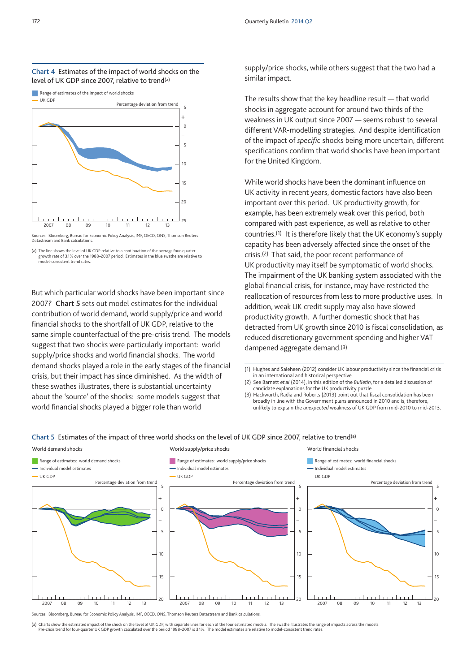

Sources: Bloomberg, Bureau for Economic Policy Analysis, IMF, OECD, ONS, Thomson Reuters Datastream and Bank calculations.

(a) The line shows the level of UK GDP relative to a continuation of the average four-quarter growth rate of 3.1% over the 1988–2007 period. Estimates in the blue swathe are relative to model-consistent trend rates.

But which particular world shocks have been important since 2007? **Chart 5** sets out model estimates for the individual contribution of world demand, world supply/price and world financial shocks to the shortfall of UK GDP, relative to the same simple counterfactual of the pre-crisis trend. The models suggest that two shocks were particularly important: world supply/price shocks and world financial shocks. The world demand shocks played a role in the early stages of the financial crisis, but their impact has since diminished. As the width of these swathes illustrates, there is substantial uncertainty about the 'source' of the shocks: some models suggest that world financial shocks played a bigger role than world

supply/price shocks, while others suggest that the two had a similar impact.

The results show that the key headline result — that world shocks in aggregate account for around two thirds of the weakness in UK output since 2007 — seems robust to several different VAR-modelling strategies. And despite identification of the impact of *specific* shocks being more uncertain, different specifications confirm that world shocks have been important for the United Kingdom.

While world shocks have been the dominant influence on UK activity in recent years, domestic factors have also been important over this period. UK productivity growth, for example, has been extremely weak over this period, both compared with past experience, as well as relative to other countries.(1) It is therefore likely that the UK economy's supply capacity has been adversely affected since the onset of the crisis.(2) That said, the poor recent performance of UK productivity may itself be symptomatic of world shocks. The impairment of the UK banking system associated with the global financial crisis, for instance, may have restricted the reallocation of resources from less to more productive uses. In addition, weak UK credit supply may also have slowed productivity growth. A further domestic shock that has detracted from UK growth since 2010 is fiscal consolidation, as reduced discretionary government spending and higher VAT dampened aggregate demand.(3)

- (1) Hughes and Saleheen (2012) consider UK labour productivity since the financial crisis in an international and historical perspective.
- (2) See Barnett *et al* (2014), in this edition of the *Bulletin*, for a detailed discussion of candidate explanations for the UK productivity puzzle. (3) Hackworth, Radia and Roberts (2013) point out that fiscal consolidation has been
- broadly in line with the Government plans announced in 2010 and is, therefore, unlikely to explain the *unexpected* weakness of UK GDP from mid-2010 to mid-2013.



Sources: Bloomberg, Bureau for Economic Policy Analysis, IMF, OECD, ONS, Thomson Reuters Datastream and Bank calculations.

(a) Charts show the estimated impact of the shock on the level of UK GDP, with separate lines for each of the four estimated models. The swathe illustrates the range of impacts across the models. Pre-crisis trend for four-quarter UK GDP growth calculated over the period 1988–2007 is 3.1%. The model estimates are relative to model-consistent trend rates.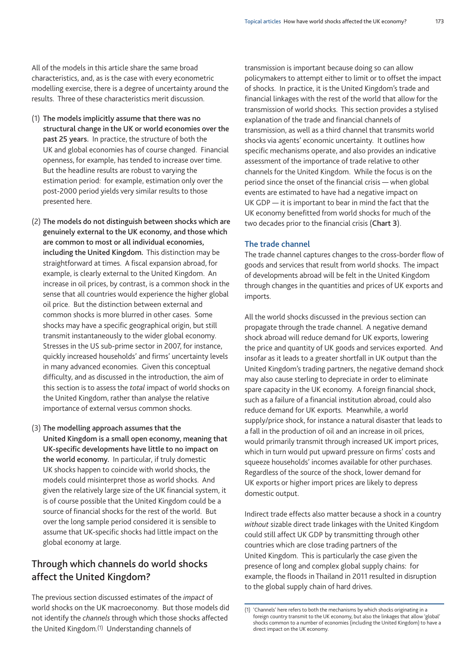All of the models in this article share the same broad characteristics, and, as is the case with every econometric modelling exercise, there is a degree of uncertainty around the results. Three of these characteristics merit discussion.

- (1) **The models implicitly assume that there was no structural change in the UK or world economies over the past 25 years.** In practice, the structure of both the UK and global economies has of course changed. Financial openness, for example, has tended to increase over time. But the headline results are robust to varying the estimation period: for example, estimation only over the post-2000 period yields very similar results to those presented here.
- (2) **The models do not distinguish between shocks which are genuinely external to the UK economy, and those which are common to most or all individual economies, including the United Kingdom.** This distinction may be straightforward at times. A fiscal expansion abroad, for example, is clearly external to the United Kingdom. An increase in oil prices, by contrast, is a common shock in the sense that all countries would experience the higher global oil price. But the distinction between external and common shocks is more blurred in other cases. Some shocks may have a specific geographical origin, but still transmit instantaneously to the wider global economy. Stresses in the US sub-prime sector in 2007, for instance, quickly increased households' and firms' uncertainty levels in many advanced economies. Given this conceptual difficulty, and as discussed in the introduction, the aim of this section is to assess the *total* impact of world shocks on the United Kingdom, rather than analyse the relative importance of external versus common shocks.
- (3) **The modelling approach assumes that the United Kingdom is a small open economy, meaning that UK-specific developments have little to no impact on the world economy.** In particular, if truly domestic UK shocks happen to coincide with world shocks, the models could misinterpret those as world shocks. And given the relatively large size of the UK financial system, it is of course possible that the United Kingdom could be a source of financial shocks for the rest of the world. But over the long sample period considered it is sensible to assume that UK-specific shocks had little impact on the global economy at large.

# **Through which channels do world shocks affect the United Kingdom?**

The previous section discussed estimates of the *impact* of world shocks on the UK macroeconomy. But those models did not identify the *channels* through which those shocks affected the United Kingdom.(1) Understanding channels of

transmission is important because doing so can allow policymakers to attempt either to limit or to offset the impact of shocks. In practice, it is the United Kingdom's trade and financial linkages with the rest of the world that allow for the transmission of world shocks. This section provides a stylised explanation of the trade and financial channels of transmission, as well as a third channel that transmits world shocks via agents' economic uncertainty. It outlines how specific mechanisms operate, and also provides an indicative assessment of the importance of trade relative to other channels for the United Kingdom. While the focus is on the period since the onset of the financial crisis — when global events are estimated to have had a negative impact on UK GDP — it is important to bear in mind the fact that the UK economy benefitted from world shocks for much of the two decades prior to the financial crisis (**Chart 3**).

## **The trade channel**

The trade channel captures changes to the cross-border flow of goods and services that result from world shocks. The impact of developments abroad will be felt in the United Kingdom through changes in the quantities and prices of UK exports and imports.

All the world shocks discussed in the previous section can propagate through the trade channel. A negative demand shock abroad will reduce demand for UK exports, lowering the price and quantity of UK goods and services exported. And insofar as it leads to a greater shortfall in UK output than the United Kingdom's trading partners, the negative demand shock may also cause sterling to depreciate in order to eliminate spare capacity in the UK economy. A foreign financial shock, such as a failure of a financial institution abroad, could also reduce demand for UK exports. Meanwhile, a world supply/price shock, for instance a natural disaster that leads to a fall in the production of oil and an increase in oil prices, would primarily transmit through increased UK import prices, which in turn would put upward pressure on firms' costs and squeeze households' incomes available for other purchases. Regardless of the source of the shock, lower demand for UK exports or higher import prices are likely to depress domestic output.

Indirect trade effects also matter because a shock in a country *without* sizable direct trade linkages with the United Kingdom could still affect UK GDP by transmitting through other countries which are close trading partners of the United Kingdom. This is particularly the case given the presence of long and complex global supply chains: for example, the floods in Thailand in 2011 resulted in disruption to the global supply chain of hard drives.

<sup>(1)</sup> 'Channels' here refers to both the mechanisms by which shocks originating in a foreign country transmit to the UK economy, but also the linkages that allow 'global' shocks common to a number of economies (including the United Kingdom) to have a direct impact on the UK economy.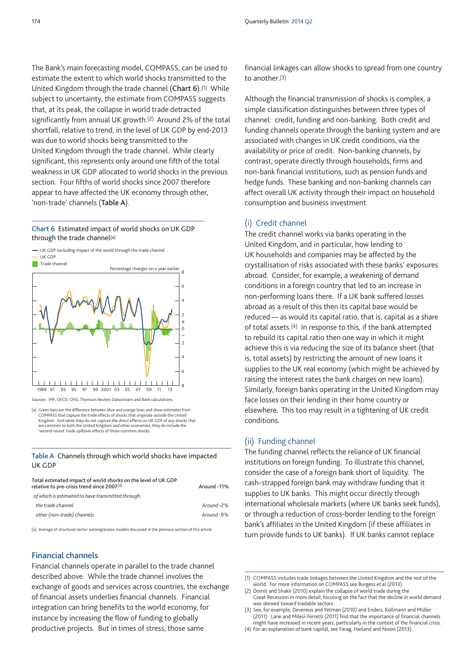The Bank's main forecasting model, COMPASS, can be used to estimate the extent to which world shocks transmitted to the United Kingdom through the trade channel (**Chart 6**).(1) While subject to uncertainty, the estimate from COMPASS suggests that, at its peak, the collapse in world trade detracted significantly from annual UK growth.(2) Around 2% of the total shortfall, relative to trend, in the level of UK GDP by end-2013 was due to world shocks being transmitted to the United Kingdom through the trade channel. While clearly significant, this represents only around one fifth of the total weakness in UK GDP allocated to world shocks in the previous section. Four fifths of world shocks since 2007 therefore appear to have affected the UK economy through other, 'non-trade' channels (**Table A**).

**Chart 6** Estimated impact of world shocks on UK GDP through the trade channel(a)



Sources: IMF, OECD, ONS, Thomson Reuters Datastream and Bank calculations.

**Table A** Channels through which world shocks have impacted UK GDP

| Total estimated impact of world shocks on the level of UK GDP<br>relative to pre-crisis trend since 2007 $^{(a)}$ | Around -11% |
|-------------------------------------------------------------------------------------------------------------------|-------------|
| of which is estimated to have transmitted through:                                                                |             |
| the trade channel                                                                                                 | Around-2%   |
| other (non-trade) channels                                                                                        | Around-9%   |

(a) Average of structural vector autoregression models discussed in the previous section of this article.

## **Financial channels**

Financial channels operate in parallel to the trade channel described above. While the trade channel involves the exchange of goods and services across countries, the exchange of financial assets underlies financial channels. Financial integration can bring benefits to the world economy, for instance by increasing the flow of funding to globally productive projects. But in times of stress, those same

financial linkages can allow shocks to spread from one country to another.(3)

Although the financial transmission of shocks is complex, a simple classification distinguishes between three types of channel: credit, funding and non-banking. Both credit and funding channels operate through the banking system and are associated with changes in UK credit conditions, via the availability or price of credit. Non-banking channels, by contrast, operate directly through households, firms and non-bank financial institutions, such as pension funds and hedge funds. These banking and non-banking channels can affect overall UK activity through their impact on household consumption and business investment.

## (i) Credit channel

The credit channel works via banks operating in the United Kingdom, and in particular, how lending to UK households and companies may be affected by the crystallisation of risks associated with these banks' exposures abroad. Consider, for example, a weakening of demand conditions in a foreign country that led to an increase in non-performing loans there. If a UK bank suffered losses abroad as a result of this then its capital base would be reduced — as would its capital ratio, that is, capital as a share of total assets.(4) In response to this, if the bank attempted to rebuild its capital ratio then one way in which it might achieve this is via reducing the size of its balance sheet (that is, total assets) by restricting the amount of new loans it supplies to the UK real economy (which might be achieved by raising the interest rates the bank charges on new loans). Similarly, foreign banks operating in the United Kingdom may face losses on their lending in their home country or elsewhere. This too may result in a tightening of UK credit conditions.

## (ii) Funding channel

The funding channel reflects the reliance of UK financial institutions on foreign funding. To illustrate this channel, consider the case of a foreign bank short of liquidity. The cash-strapped foreign bank may withdraw funding that it supplies to UK banks. This might occur directly through international wholesale markets (where UK banks seek funds), or through a reduction of cross-border lending to the foreign bank's affiliates in the United Kingdom (if these affiliates in turn provide funds to UK banks). If UK banks cannot replace

<sup>(</sup>a) Green bars are the difference between blue and orange lines and show estimates from COMPASS that capture the trade effects of shocks that originate outside the United<br>Kingdom. And while they do not capture the *direct e*ffects on UK GDP of any shocks that<br>are common to both the United Kingdom and other e 'second-round' trade spillover effects of those common shocks.

<sup>(1)</sup> COMPASS includes trade linkages between the United Kingdom and the rest of the world. For more information on COMPASS see Burgess *et al* (2013).

<sup>(2)</sup> Domit and Shakir (2010) explain the collapse of world trade during the Great Recession in more detail, focusing on the fact that the decline in world demand was skewed toward tradable sectors.

<sup>(3)</sup> See, for example, Devereux and Yetman (2010) and Enders, Kollmann and Müller (2011). Lane and Milesi-Ferretti (2011) find that the importance of financial channels might have increased in recent years, particularly in the context of the financial crisis.

<sup>(4)</sup> For an explanation of bank capital, see Farag, Harland and Nixon (2013).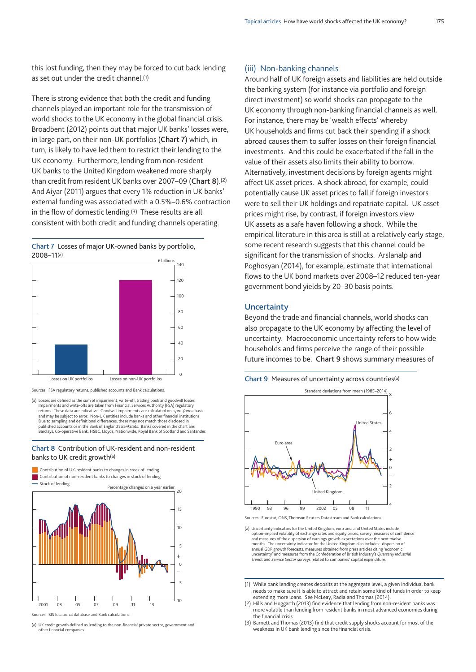this lost funding, then they may be forced to cut back lending as set out under the credit channel.(1)

There is strong evidence that both the credit and funding channels played an important role for the transmission of world shocks to the UK economy in the global financial crisis. Broadbent (2012) points out that major UK banks' losses were, in large part, on their non-UK portfolios (**Chart 7**) which, in turn, is likely to have led them to restrict their lending to the UK economy. Furthermore, lending from non-resident UK banks to the United Kingdom weakened more sharply than credit from resident UK banks over 2007–09 (**Chart 8**).(2) And Aiyar (2011) argues that every 1% reduction in UK banks' external funding was associated with a 0.5%–0.6% contraction in the flow of domestic lending.(3) These results are all consistent with both credit and funding channels operating.

**Chart 7** Losses of major UK-owned banks by portfolio, 2008–11(a)





(a) Losses are defined as the sum of impairment, write-off, trading book and goodwill losses. Impairments and write-offs are taken from Financial Services Authority (FSA) regulatory returns. These data are indicative. Goodwill impairments are calculated on a *pro-forma* basis and may be subject to error. Non-UK entities include banks and other financial institutions. Due to sampling and definitional differences, these may not match those disclosed in published accounts or in the Bank of England's *Bankstats*. Banks covered in the chart are: Barclays, Co-operative Bank, HSBC, Lloyds, Nationwide, Royal Bank of Scotland and Santander.

#### **Chart 8** Contribution of UK-resident and non-resident banks to UK credit growth(a)



(a) UK credit growth defined as lending to the non-financial private sector, government and other financial companies.

#### (iii) Non-banking channels

Around half of UK foreign assets and liabilities are held outside the banking system (for instance via portfolio and foreign direct investment) so world shocks can propagate to the UK economy through non-banking financial channels as well. For instance, there may be 'wealth effects' whereby UK households and firms cut back their spending if a shock abroad causes them to suffer losses on their foreign financial investments. And this could be exacerbated if the fall in the value of their assets also limits their ability to borrow. Alternatively, investment decisions by foreign agents might affect UK asset prices. A shock abroad, for example, could potentially cause UK asset prices to fall if foreign investors were to sell their UK holdings and repatriate capital. UK asset prices might rise, by contrast, if foreign investors view UK assets as a safe haven following a shock. While the empirical literature in this area is still at a relatively early stage, some recent research suggests that this channel could be significant for the transmission of shocks. Arslanalp and Poghosyan (2014), for example, estimate that international flows to the UK bond markets over 2008–12 reduced ten-year government bond yields by 20–30 basis points.

#### **Uncertainty**

Beyond the trade and financial channels, world shocks can also propagate to the UK economy by affecting the level of uncertainty. Macroeconomic uncertainty refers to how wide households and firms perceive the range of their possible future incomes to be. **Chart 9** shows summary measures of





Sources: Eurostat, ONS, Thomson Reuters Datastream and Bank calculations.

- (a) Uncertainty indicators for the United Kingdom, euro area and United States include option-implied volatility of exchange rates and equity prices, survey measures of confidence and measures of the dispersion of earnings growth expectations over the next twelve<br>months. The uncertainty indicator for the United Kingdom also includes: dispersion oi<br>annual GDP growth forecasts, measures obtained from uncertainty' and measures from the Confederation of British Industry's *Quarterly Industrial Trends* and *Service Sector* surveys related to companies' capital expenditure.
- (1) While bank lending creates deposits at the aggregate level, a given individual bank needs to make sure it is able to attract and retain some kind of funds in order to keep extending more loans. See McLeay, Radia and Thomas (2014).
- (2) Hills and Hoggarth (2013) find evidence that lending from non-resident banks was more volatile than lending from resident banks in most advanced economies during the financial crisis.
- (3) Barnett and Thomas (2013) find that credit supply shocks account for most of the weakness in UK bank lending since the financial crisis.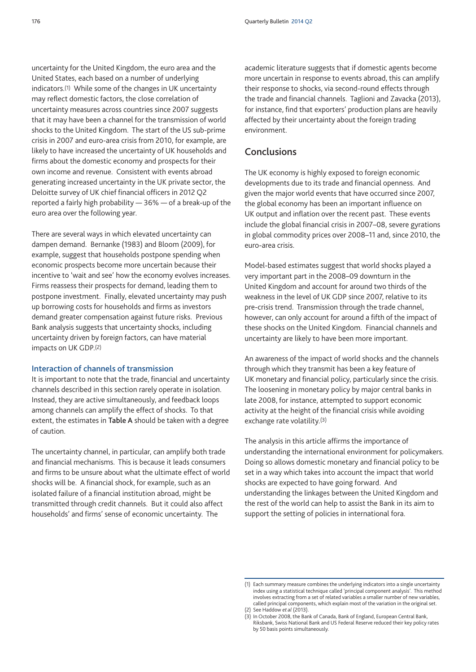uncertainty for the United Kingdom, the euro area and the United States, each based on a number of underlying indicators.(1) While some of the changes in UK uncertainty may reflect domestic factors, the close correlation of uncertainty measures across countries since 2007 suggests that it may have been a channel for the transmission of world shocks to the United Kingdom. The start of the US sub-prime crisis in 2007 and euro-area crisis from 2010, for example, are likely to have increased the uncertainty of UK households and firms about the domestic economy and prospects for their own income and revenue. Consistent with events abroad generating increased uncertainty in the UK private sector, the Deloitte survey of UK chief financial officers in 2012 Q2 reported a fairly high probability — 36% — of a break-up of the euro area over the following year.

There are several ways in which elevated uncertainty can dampen demand. Bernanke (1983) and Bloom (2009), for example, suggest that households postpone spending when economic prospects become more uncertain because their incentive to 'wait and see' how the economy evolves increases. Firms reassess their prospects for demand, leading them to postpone investment. Finally, elevated uncertainty may push up borrowing costs for households and firms as investors demand greater compensation against future risks. Previous Bank analysis suggests that uncertainty shocks, including uncertainty driven by foreign factors, can have material impacts on UK GDP.(2)

#### **Interaction of channels of transmission**

It is important to note that the trade, financial and uncertainty channels described in this section rarely operate in isolation. Instead, they are active simultaneously, and feedback loops among channels can amplify the effect of shocks. To that extent, the estimates in **Table A** should be taken with a degree of caution.

The uncertainty channel, in particular, can amplify both trade and financial mechanisms. This is because it leads consumers and firms to be unsure about what the ultimate effect of world shocks will be. A financial shock, for example, such as an isolated failure of a financial institution abroad, might be transmitted through credit channels. But it could also affect households' and firms' sense of economic uncertainty. The

academic literature suggests that if domestic agents become more uncertain in response to events abroad, this can amplify their response to shocks, via second-round effects through the trade and financial channels. Taglioni and Zavacka (2013), for instance, find that exporters' production plans are heavily affected by their uncertainty about the foreign trading environment.

# **Conclusions**

The UK economy is highly exposed to foreign economic developments due to its trade and financial openness. And given the major world events that have occurred since 2007, the global economy has been an important influence on UK output and inflation over the recent past. These events include the global financial crisis in 2007–08, severe gyrations in global commodity prices over 2008–11 and, since 2010, the euro-area crisis.

Model-based estimates suggest that world shocks played a very important part in the 2008–09 downturn in the United Kingdom and account for around two thirds of the weakness in the level of UK GDP since 2007, relative to its pre-crisis trend. Transmission through the trade channel, however, can only account for around a fifth of the impact of these shocks on the United Kingdom. Financial channels and uncertainty are likely to have been more important.

An awareness of the impact of world shocks and the channels through which they transmit has been a key feature of UK monetary and financial policy, particularly since the crisis. The loosening in monetary policy by major central banks in late 2008, for instance, attempted to support economic activity at the height of the financial crisis while avoiding exchange rate volatility.(3)

The analysis in this article affirms the importance of understanding the international environment for policymakers. Doing so allows domestic monetary and financial policy to be set in a way which takes into account the impact that world shocks are expected to have going forward. And understanding the linkages between the United Kingdom and the rest of the world can help to assist the Bank in its aim to support the setting of policies in international fora.

<sup>(1)</sup> Each summary measure combines the underlying indicators into a single uncertainty index using a statistical technique called 'principal component analysis'. This method involves extracting from a set of related variables a smaller number of new variables, called principal components, which explain most of the variation in the original set. (2) See Haddow *et al* (2013).

<sup>(3)</sup> In October 2008, the Bank of Canada, Bank of England, European Central Bank, Riksbank, Swiss National Bank and US Federal Reserve reduced their key policy rates by 50 basis points simultaneously.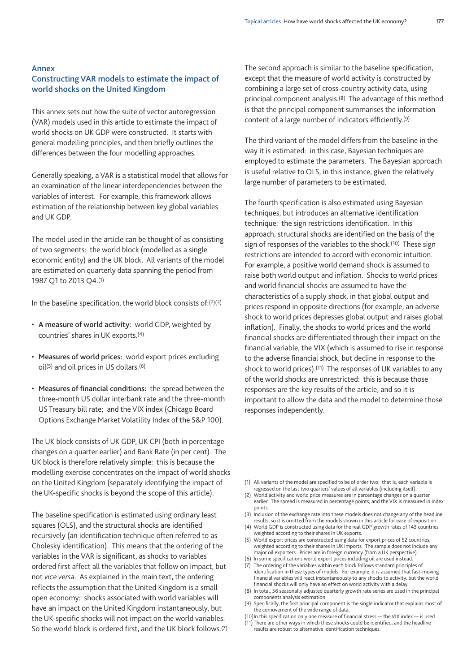#### **Annex**

# **Constructing VAR models to estimate the impact of world shocks on the United Kingdom**

This annex sets out how the suite of vector autoregression (VAR) models used in this article to estimate the impact of world shocks on UK GDP were constructed. It starts with general modelling principles, and then briefly outlines the differences between the four modelling approaches.

Generally speaking, a VAR is a statistical model that allows for an examination of the linear interdependencies between the variables of interest. For example, this framework allows estimation of the relationship between key global variables and UK GDP.

The model used in the article can be thought of as consisting of two segments: the world block (modelled as a single economic entity) and the UK block. All variants of the model are estimated on quarterly data spanning the period from 1987 Q1 to 2013 Q4.(1)

In the baseline specification, the world block consists of:(2)(3)

- **A measure of world activity:** world GDP, weighted by countries' shares in UK exports.(4)
- **Measures of world prices:** world export prices excluding oil(5) and oil prices in US dollars.(6)
- **Measures of financial conditions:** the spread between the three-month US dollar interbank rate and the three-month US Treasury bill rate; and the VIX index (Chicago Board Options Exchange Market Volatility Index of the S&P 100).

The UK block consists of UK GDP, UK CPI (both in percentage changes on a quarter earlier) and Bank Rate (in per cent). The UK block is therefore relatively simple: this is because the modelling exercise concentrates on the impact of world shocks on the United Kingdom (separately identifying the impact of the UK-specific shocks is beyond the scope of this article).

The baseline specification is estimated using ordinary least squares (OLS), and the structural shocks are identified recursively (an identification technique often referred to as Cholesky identification). This means that the ordering of the variables in the VAR is significant, as shocks to variables ordered first affect all the variables that follow on impact, but not *vice versa*. As explained in the main text, the ordering reflects the assumption that the United Kingdom is a small open economy: shocks associated with world variables will have an impact on the United Kingdom instantaneously, but the UK-specific shocks will not impact on the world variables. So the world block is ordered first, and the UK block follows.(7) The second approach is similar to the baseline specification, except that the measure of world activity is constructed by combining a large set of cross-country activity data, using principal component analysis.(8) The advantage of this method is that the principal component summarises the information content of a large number of indicators efficiently.(9)

The third variant of the model differs from the baseline in the way it is estimated: in this case, Bayesian techniques are employed to estimate the parameters. The Bayesian approach is useful relative to OLS, in this instance, given the relatively large number of parameters to be estimated.

The fourth specification is also estimated using Bayesian techniques, but introduces an alternative identification technique: the sign restrictions identification. In this approach, structural shocks are identified on the basis of the sign of responses of the variables to the shock.<sup>(10)</sup> These sign restrictions are intended to accord with economic intuition. For example, a positive world demand shock is assumed to raise both world output and inflation. Shocks to world prices and world financial shocks are assumed to have the characteristics of a supply shock, in that global output and prices respond in opposite directions (for example, an adverse shock to world prices depresses global output and raises global inflation). Finally, the shocks to world prices and the world financial shocks are differentiated through their impact on the financial variable, the VIX (which is assumed to rise in response to the adverse financial shock, but decline in response to the shock to world prices).<sup>(11)</sup> The responses of UK variables to any of the world shocks are unrestricted: this is because those responses are the key results of the article, and so it is important to allow the data and the model to determine those responses independently.

results are robust to alternative identification techniques.

<sup>(1)</sup> All variants of the model are specified to be of order two; that is, each variable is regressed on the last two quarters' values of all variables (including itself).

<sup>(2)</sup> World activity and world price measures are in percentage changes on a quarter earlier. The spread is measured in percentage points, and the VIX is measured in index points.

<sup>(3)</sup> Inclusion of the exchange rate into these models does not change any of the headline results, so it is omitted from the models shown in this article for ease of exposition.

<sup>(4)</sup> World GDP is constructed using data for the real GDP growth rates of 143 countries weighted according to their shares in UK exports. (5) World export prices are constructed using data for export prices of 52 countries,

weighted according to their shares in UK imports. The sample does not include any major oil exporters. Prices are in foreign currency (from a UK perspective). (6) In some specifications world export prices including oil are used instead.

<sup>(7)</sup> The ordering of the variables within each block follows standard principles of

identification in these types of models. For example, it is assumed that fast-moving financial variables will react instantaneously to any shocks to activity, but the world financial shocks will only have an effect on world activity with a delay.

<sup>(8)</sup> In total, 56 seasonally adjusted quarterly growth rate series are used in the principal components analysis estimation.

<sup>(9)</sup> Specifically, the first principal component is the single indicator that explains most of the comovement of the wide range of data.

<sup>(10)</sup>In this specification only one measure of financial stress — the VIX index — is used. (11) There are other ways in which these shocks could be identified, and the headline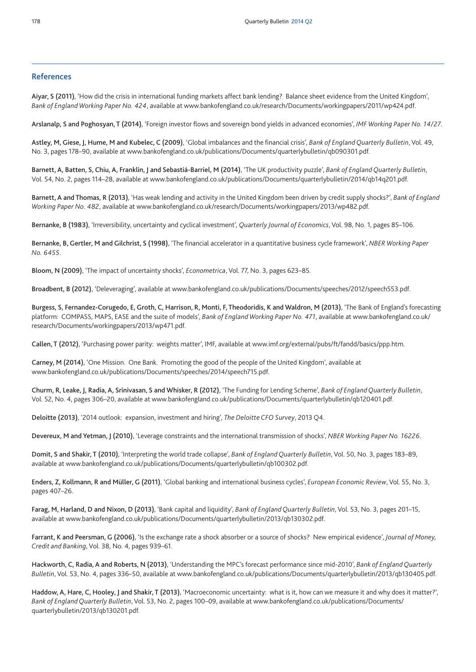### **References**

**Aiyar, S (2011)**, 'How did the crisis in international funding markets affect bank lending? Balance sheet evidence from the United Kingdom', *Bank of England Working Paper No. 424*, available at www.bankofengland.co.uk/research/Documents/workingpapers/2011/wp424.pdf.

**Arslanalp, S and Poghosyan, T (2014)**, 'Foreign investor flows and sovereign bond yields in advanced economies', *IMF Working Paper No. 14/27*.

Astley, M, Giese, J, Hume, M and Kubelec, C (2009), 'Global imbalances and the financial crisis', Bank of England Quarterly Bulletin, Vol. 49, No. 3, pages 178–90, available at www.bankofengland.co.uk/publications/Documents/quarterlybulletin/qb090301.pdf.

Barnett, A, Batten, S, Chiu, A, Franklin, J and Sebastiá-Barriel, M (2014), 'The UK productivity puzzle', Bank of England Quarterly Bulletin, Vol. 54, No. 2, pages 114–28, available at [www.bankofengland.co.uk/publications/Documents/quarterlybulletin/2014/qb14q201.pdf.](www.bankofengland.co.uk/publications/Documents/quarterlybulletin/2014/qb14q201.pdf)

**Barnett, A and Thomas, R (2013)**, 'Has weak lending and activity in the United Kingdom been driven by credit supply shocks?', *Bank of England Working Paper No. 482*, available at www.bankofengland.co.uk/research/Documents/workingpapers/2013/wp482.pdf.

**Bernanke, B (1983)**, 'Irreversibility, uncertainty and cyclical investment', *Quarterly Journal of Economics*, Vol. 98, No. 1, pages 85–106.

**Bernanke, B, Gertler, M and Gilchrist, S (1998)**, 'The financial accelerator in a quantitative business cycle framework', *NBER Working Paper No. 6455*.

**Bloom, N (2009)**, 'The impact of uncertainty shocks', *Econometrica*, Vol. 77, No. 3, pages 623–85.

**Broadbent, B (2012)**, 'Deleveraging', available at www.bankofengland.co.uk/publications/Documents/speeches/2012/speech553.pdf.

Burgess, S, Fernandez-Corugedo, E, Groth, C, Harrison, R, Monti, F, Theodoridis, K and Waldron, M (2013), 'The Bank of England's forecasting platform: COMPASS, MAPS, EASE and the suite of models', *Bank of England Working Paper No. 471*, available at [www.bankofengland.co.uk/](www.bankofengland.co.uk/research/Documents/workingpapers/2013/wp471.pdf) [research/Documents/workingpapers/2013/wp471.pdf.](www.bankofengland.co.uk/research/Documents/workingpapers/2013/wp471.pdf)

**Callen, T (2012)**, 'Purchasing power parity: weights matter', IMF, available at www.imf.org/external/pubs/ft/fandd/basics/ppp.htm.

**Carney, M (2014)**, 'One Mission. One Bank. Promoting the good of the people of the United Kingdom', available at www.bankofengland.co.uk/publications/Documents/speeches/2014/speech715.pdf.

Churm, R, Leake, J, Radia, A, Srinivasan, S and Whisker, R (2012), 'The Funding for Lending Scheme', Bank of England Quarterly Bulletin, Vol. 52, No. 4, pages 306–20, available at www.bankofengland.co.uk/publications/Documents/quarterlybulletin/qb120401.pdf.

**Deloitte (2013)**, '2014 outlook: expansion, investment and hiring', *The Deloitte CFO Survey*, 2013 Q4.

**Devereux, M and Yetman, J (2010)**, 'Leverage constraints and the international transmission of shocks', *NBER Working Paper No. 16226*.

**Domit, S and Shakir, T (2010)**, 'Interpreting the world trade collapse', *Bank of England Quarterly Bulletin*, Vol. 50, No. 3, pages 183–89, available at www.bankofengland.co.uk/publications/Documents/quarterlybulletin/qb100302.pdf.

**Enders, Z, Kollmann, R and Müller, G (2011)**, 'Global banking and international business cycles', *European Economic Review*, Vol. 55, No. 3, pages 407–26.

Farag, M, Harland, D and Nixon, D (2013), 'Bank capital and liquidity', Bank of England Quarterly Bulletin, Vol. 53, No. 3, pages 201-15, available at www.bankofengland.co.uk/publications/Documents/quarterlybulletin/2013/qb130302.pdf.

**Farrant, K and Peersman, G (2006)**, 'Is the exchange rate a shock absorber or a source of shocks? New empirical evidence', *Journal of Money, Credit and Banking*, Vol. 38, No. 4, pages 939–61.

**Hackworth, C, Radia, A and Roberts, N (2013)**, 'Understanding the MPC's forecast performance since mid-2010', *Bank of England Quarterly Bulletin*, Vol. 53, No. 4, pages 336–50, available at www.bankofengland.co.uk/publications/Documents/quarterlybulletin/2013/qb130405.pdf.

**Haddow, A, Hare, C, Hooley, J and Shakir, T (2013)**, 'Macroeconomic uncertainty: what is it, how can we measure it and why does it matter?', *Bank of England Quarterly Bulletin*, Vol. 53, No. 2, pages 100–09, available at [www.bankofengland.co.uk/publications/Documents/](www.bankofengland.co.uk/publications/Documents/quarterlybulletin/2013/qb130201.pdf) [quarterlybulletin/2013/qb130201.pdf.](www.bankofengland.co.uk/publications/Documents/quarterlybulletin/2013/qb130201.pdf)